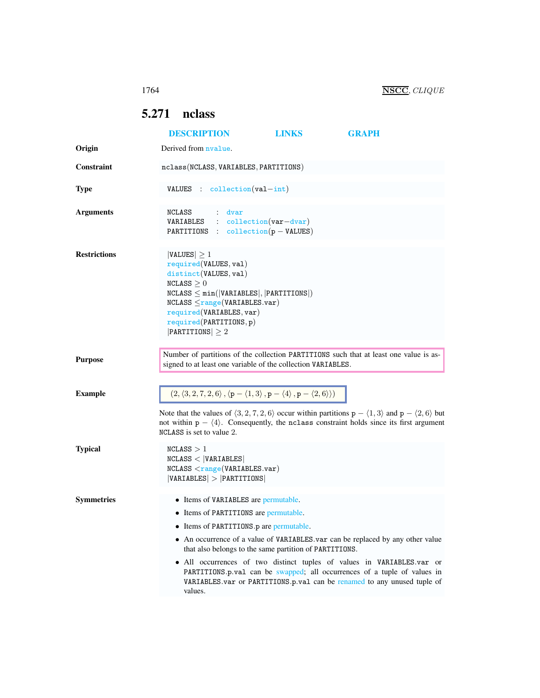## <span id="page-0-0"></span>5.271 nclass

|                     | <b>DESCRIPTION</b>                                                                                                                                                                                                                                                                     | <b>LINKS</b> | <b>GRAPH</b>                                                                                                                                                                                                                                                                                                    |
|---------------------|----------------------------------------------------------------------------------------------------------------------------------------------------------------------------------------------------------------------------------------------------------------------------------------|--------------|-----------------------------------------------------------------------------------------------------------------------------------------------------------------------------------------------------------------------------------------------------------------------------------------------------------------|
| Origin              | Derived from nyalue.                                                                                                                                                                                                                                                                   |              |                                                                                                                                                                                                                                                                                                                 |
| <b>Constraint</b>   | nclass(NCLASS, VARIABLES, PARTITIONS)                                                                                                                                                                                                                                                  |              |                                                                                                                                                                                                                                                                                                                 |
| <b>Type</b>         | VALUES : $\text{collection}(val-int)$                                                                                                                                                                                                                                                  |              |                                                                                                                                                                                                                                                                                                                 |
| <b>Arguments</b>    | NCLASS<br>$:$ dvar<br>$VARIABLES$ : collection(var-dvar)<br>PARTITIONS : $\text{collection}(p - \text{VALUES})$                                                                                                                                                                        |              |                                                                                                                                                                                                                                                                                                                 |
| <b>Restrictions</b> | $ VALUES  \geq 1$<br>required(VALUES, val)<br>distinct(VALUES, val)<br>NCLASS > 0<br>$NCLASS \leq min( VARIABLES ,  PARTITIONS )$<br>$NCLASS \leq range(VARIABLES.var)$<br>required(VARIABLES, var)<br>required(PARTITIONS, p)<br>$ $ PARTITIONS $  \geq 2$                            |              |                                                                                                                                                                                                                                                                                                                 |
| <b>Purpose</b>      | Number of partitions of the collection PARTITIONS such that at least one value is as-<br>signed to at least one variable of the collection VARIABLES.                                                                                                                                  |              |                                                                                                                                                                                                                                                                                                                 |
| <b>Example</b>      | $(2, \langle 3, 2, 7, 2, 6 \rangle, \langle p - \langle 1, 3 \rangle, p - \langle 4 \rangle, p - \langle 2, 6 \rangle)$                                                                                                                                                                |              |                                                                                                                                                                                                                                                                                                                 |
|                     | Note that the values of $\langle 3, 2, 7, 2, 6 \rangle$ occur within partitions $p - \langle 1, 3 \rangle$ and $p - \langle 2, 6 \rangle$ but<br>not within $p - \langle 4 \rangle$ . Consequently, the not not constraint holds since its first argument<br>NCLASS is set to value 2. |              |                                                                                                                                                                                                                                                                                                                 |
| <b>Typical</b>      | NCLASS > 1<br>NCLASS <  VARIABLES <br>NCLASS <u>range(VARIABLES.var)</u><br> VARIABLES  >  PARTITIONS                                                                                                                                                                                  |              |                                                                                                                                                                                                                                                                                                                 |
| <b>Symmetries</b>   | • Items of VARIABLES are permutable.<br>• Items of PARTITIONS are permutable.<br>Items of PARTITIONS.p are permutable.                                                                                                                                                                 |              |                                                                                                                                                                                                                                                                                                                 |
|                     | that also belongs to the same partition of PARTITIONS.<br>values.                                                                                                                                                                                                                      |              | • An occurrence of a value of VARIABLES var can be replaced by any other value<br>• All occurrences of two distinct tuples of values in VARIABLES.var or<br>PARTITIONS.p.val can be swapped; all occurrences of a tuple of values in<br>VARIABLES.var or PARTITIONS.p.val can be renamed to any unused tuple of |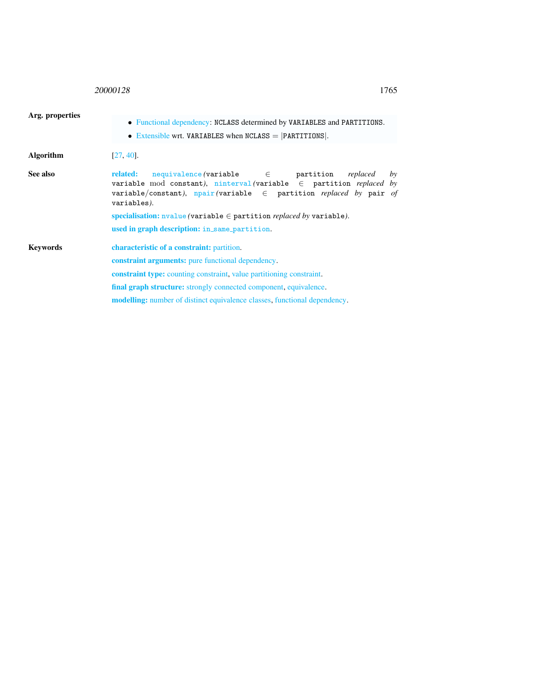## <sup>20000128</sup> 1765

<span id="page-1-0"></span>

| Arg. properties |                                                                                                                                                                                 |  |  |
|-----------------|---------------------------------------------------------------------------------------------------------------------------------------------------------------------------------|--|--|
|                 | • Functional dependency: NCLASS determined by VARIABLES and PARTITIONS.<br>• Extensible wrt. VARIABLES when $NCLASS =  PARTITIONS $ .                                           |  |  |
| Algorithm       | $[27, 40]$ .                                                                                                                                                                    |  |  |
| See also        | related:<br>variable mod constant), ninterval (variable $\in$ partition replaced by<br>variable/constant), $npair$ (variable $\in$ partition replaced by pair of<br>variables). |  |  |
|                 | specialisation: $nvalue$ (variable $\in$ partition <i>replaced by</i> variable).                                                                                                |  |  |
|                 | used in graph description: in_same_partition.                                                                                                                                   |  |  |
| Kevwords        | <b>characteristic of a constraint:</b> partition.                                                                                                                               |  |  |
|                 | <b>constraint arguments:</b> pure functional dependency.                                                                                                                        |  |  |
|                 | <b>constraint type:</b> counting constraint, value partitioning constraint.                                                                                                     |  |  |
|                 | <b>final graph structure:</b> strongly connected component, equivalence.                                                                                                        |  |  |
|                 | modelling: number of distinct equivalence classes, functional dependency.                                                                                                       |  |  |
|                 |                                                                                                                                                                                 |  |  |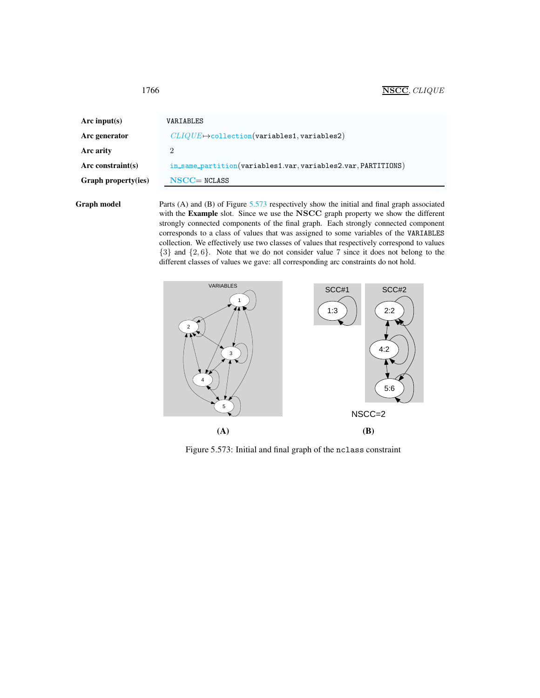| Arc input(s)               | VARIABLES                                                     |
|----------------------------|---------------------------------------------------------------|
| Arc generator              | $CLIQUE \mapsto$ collection(variables1, variables2)           |
| Arc arity                  | 2                                                             |
| Arc constraint(s)          | in_same_partition(variables1.var, variables2.var, PARTITIONS) |
| <b>Graph property(ies)</b> | $NSCC = NCLASS$                                               |
|                            |                                                               |

Graph model Parts (A) and (B) of Figure [5.573](#page-2-1) respectively show the initial and final graph associated with the Example slot. Since we use the NSCC graph property we show the different strongly connected components of the final graph. Each strongly connected component corresponds to a class of values that was assigned to some variables of the VARIABLES collection. We effectively use two classes of values that respectively correspond to values {3} and {2, 6}. Note that we do not consider value 7 since it does not belong to the different classes of values we gave: all corresponding arc constraints do not hold.



<span id="page-2-1"></span>Figure 5.573: Initial and final graph of the nclass constraint

<span id="page-2-0"></span>